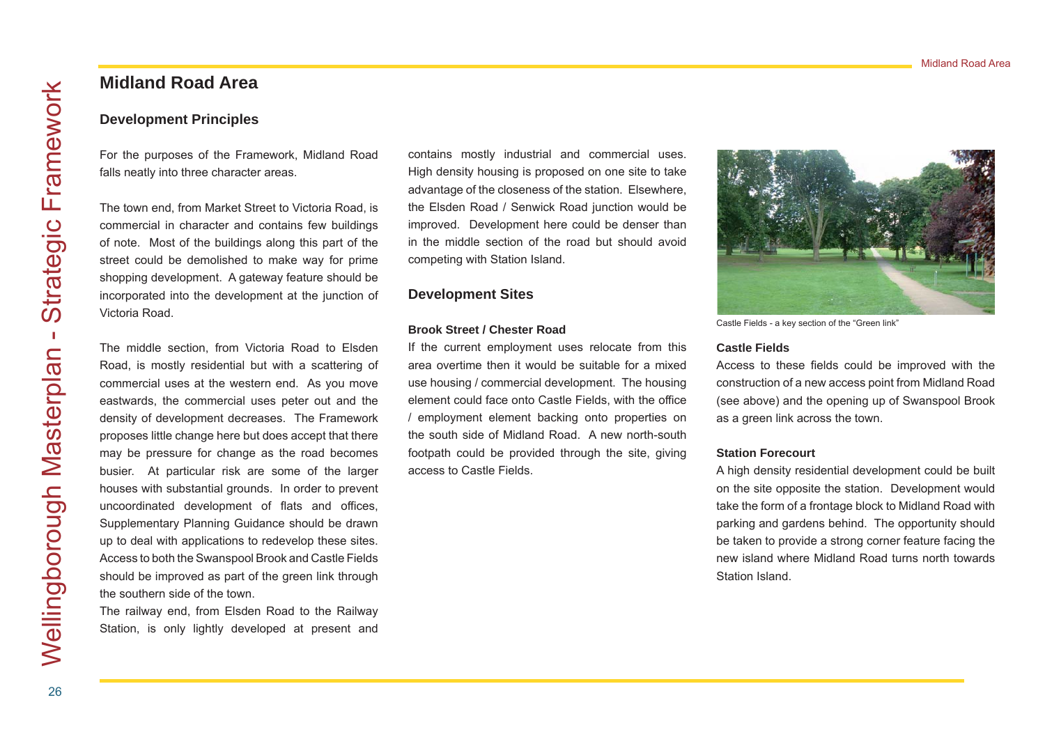# **Midland Road Area**

## **Development Principles**

For the purposes of the Framework, Midland Road falls neatly into three character areas.

The town end, from Market Street to Victoria Road, is commercial in character and contains few buildings of note. Most of the buildings along this part of the street could be demolished to make way for prime shopping development. A gateway feature should be incorporated into the development at the junction of Victoria Road.

The middle section, from Victoria Road to Elsden Road, is mostly residential but with a scattering of commercial uses at the western end. As you move eastwards, the commercial uses peter out and the density of development decreases. The Framework proposes little change here but does accept that there may be pressure for change as the road becomes busier. At particular risk are some of the larger houses with substantial grounds. In order to prevent uncoordinated development of flats and offices, Supplementary Planning Guidance should be drawn up to deal with applications to redevelop these sites. Access to both the Swanspool Brook and Castle Fields should be improved as part of the green link through the southern side of the town.

The railway end, from Elsden Road to the Railway Station, is only lightly developed at present and contains mostly industrial and commercial uses. High density housing is proposed on one site to take advantage of the closeness of the station. Elsewhere, the Elsden Road / Senwick Road junction would be improved. Development here could be denser than in the middle section of the road but should avoid competing with Station Island.

## **Development Sites**

### **Brook Street / Chester Road**

If the current employment uses relocate from this area overtime then it would be suitable for a mixed use housing / commercial development. The housing element could face onto Castle Fields, with the office / employment element backing onto properties on the south side of Midland Road. A new north-south footpath could be provided through the site, giving access to Castle Fields.



Castle Fields - a key section of the "Green link"

### **Castle Fields**

Access to these fields could be improved with the construction of a new access point from Midland Road (see above) and the opening up of Swanspool Brook as a green link across the town.

#### **Station Forecourt**

A high density residential development could be built on the site opposite the station. Development would take the form of a frontage block to Midland Road with parking and gardens behind. The opportunity should be taken to provide a strong corner feature facing the new island where Midland Road turns north towards Station Island.